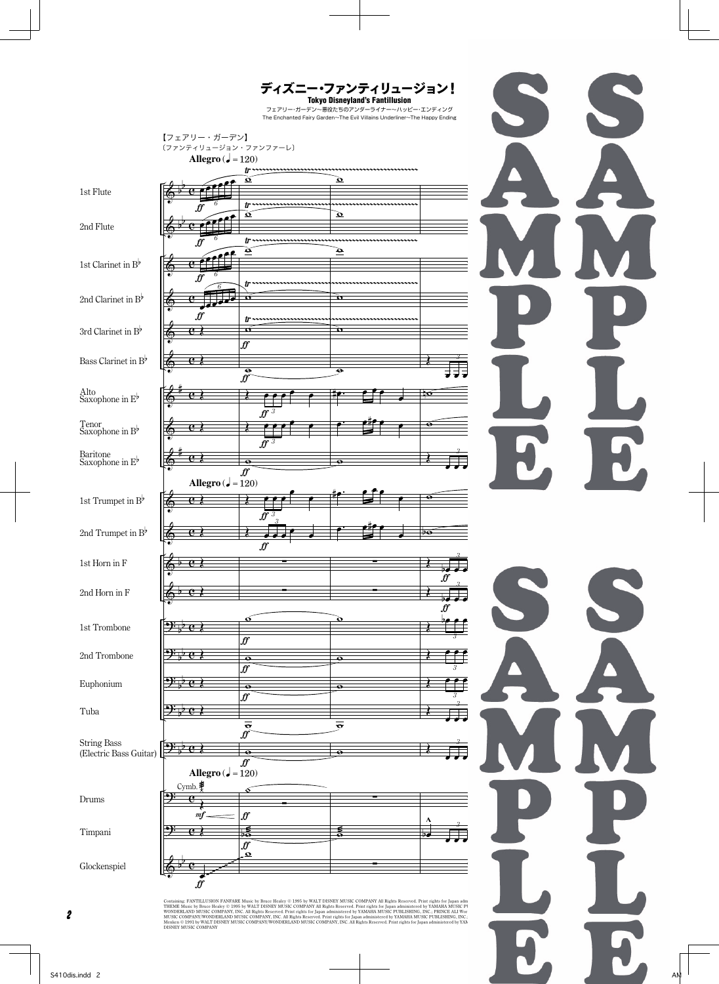|                                              |                                                                      |                                    | ディズニー・ファンティリュージョン!<br><b>Tokyo Disneyland's Fantillusion</b><br>フェアリー・ガーデン~悪役たちのアンダーライナー~ハッピー・エンディング                                                                                                                                                                                      |     |   |
|----------------------------------------------|----------------------------------------------------------------------|------------------------------------|-------------------------------------------------------------------------------------------------------------------------------------------------------------------------------------------------------------------------------------------------------------------------------------------|-----|---|
|                                              | 【フェアリー・ガーデン】<br>(ファンティリュージョン・ファンファーレ)<br>Allegro ( $\sqrt{ }$ = 120) |                                    | The Enchanted Fairy Garden~The Evil Villains Underliner~The Happy Ending                                                                                                                                                                                                                  |     |   |
| 1st Flute                                    |                                                                      | <i>trummummummumm</i><br>Ω<br>trum | $\tilde{\boldsymbol{\Omega}}$                                                                                                                                                                                                                                                             |     |   |
| 2nd Flute                                    |                                                                      | Ω<br>tr ~~                         | $\mathbf{\Omega}$                                                                                                                                                                                                                                                                         |     |   |
| 1st Clarinet in $B^{\flat}$                  |                                                                      | $\bullet$                          | $\bullet$                                                                                                                                                                                                                                                                                 |     |   |
| 2nd Clarinet in $B^{\flat}$                  | €<br>ĴĴ                                                              | $\dot{\mathbf{o}}$<br>tr∼          | $\mathbf{\sigma}$                                                                                                                                                                                                                                                                         |     |   |
| 3rd Clarinet in $B^{\flat}$                  | €                                                                    | $\bullet$<br>ff                    | $\bullet$                                                                                                                                                                                                                                                                                 |     |   |
| Bass Clarinet in $B^{\flat}$                 |                                                                      | $\overline{\bullet}$<br>ff         | $\overline{\bullet}$                                                                                                                                                                                                                                                                      |     |   |
| Alto Saxophone in $\mathrm{E}^{\flat}$       |                                                                      | ff $^3$                            |                                                                                                                                                                                                                                                                                           | ijσ |   |
| Tenor Saxophone in $\mathbf{B}^{\flat}$      |                                                                      | $\pmb{f} \pmb{f}^3$                |                                                                                                                                                                                                                                                                                           |     |   |
| Baritone in $\mathrm{E}^{\flat}$             | Allegro ( $\sqrt{ } = 120$ )                                         | $\bullet$<br>ff                    | $\bullet$                                                                                                                                                                                                                                                                                 |     | 9 |
| 1st Trumpet in $B^{\flat}$                   | €                                                                    |                                    |                                                                                                                                                                                                                                                                                           |     |   |
| 2nd Trumpet in $B^{\flat}$                   |                                                                      | ff                                 |                                                                                                                                                                                                                                                                                           |     |   |
| 1st Horn in F                                | ៏                                                                    |                                    |                                                                                                                                                                                                                                                                                           |     |   |
| 2nd Horn in F                                |                                                                      | $\mathbf{\Omega}$                  | o                                                                                                                                                                                                                                                                                         | ff  |   |
| 1st Trombone<br>2nd Trombone                 | $9 \pm c$ )<br>$9 - c$                                               | ff<br>$\bullet$                    | $\bullet$                                                                                                                                                                                                                                                                                 |     |   |
| Euphonium                                    | 9e                                                                   | ff<br>$\overline{\bullet}$         | $\bullet$                                                                                                                                                                                                                                                                                 | 3   |   |
| Tuba                                         | $9 \pm c$ )                                                          | ff<br>$\overline{\sigma}$          | $\sigma$                                                                                                                                                                                                                                                                                  |     |   |
| <b>String Bass</b><br>(Electric Bass Guitar) | $9 - 6$<br>Allegro ( $\sqrt{2} = 120$ )                              | ff<br>$\overline{\bullet}$<br>f f  | $\overline{\bullet}$                                                                                                                                                                                                                                                                      |     |   |
| Drums                                        | Cymb. $\overline{\overline{\overline{\overline{z}}}}$<br>๋ ⊖         |                                    |                                                                                                                                                                                                                                                                                           |     |   |
| Timpani                                      | $m\ddot{f}$ .<br>Đ)<br>₾                                             | ff<br>砉<br>ff                      | 총                                                                                                                                                                                                                                                                                         |     |   |
| Glockenspiel                                 | f f                                                                  | $\boldsymbol{\Omega},$             |                                                                                                                                                                                                                                                                                           |     |   |
|                                              |                                                                      |                                    | Containing: FANTILLUSION FANFARE Music by Bruce Healey @ 1995 by WALT DISNEY MUSIC COMPANY All Rights Reserved. Print rights for Japan adm<br>THEME Music by Bruce Healey © 1995 by WALT DISNEY MUSIC COMPANY All Rights Reserved. Print rights for Japan administered by YAMAHA MUSIC PI |     |   |

THEME Musie by Bruce Healey © 1995 by WALT DISNEY MUSIC COMPANY All Rights Reserved. Print rights for Japan administered by YAMAHIA MUSIC PH<br>WONDERLAND MUSIC COMPANY, INC. All Rights Reserved. Print rights for Japan admin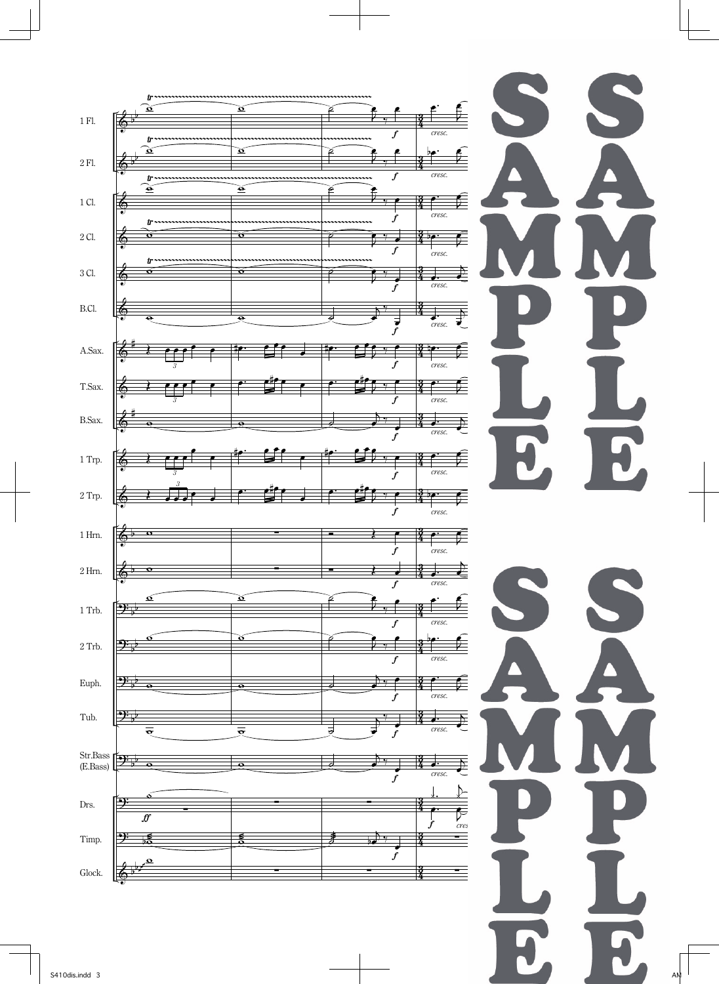